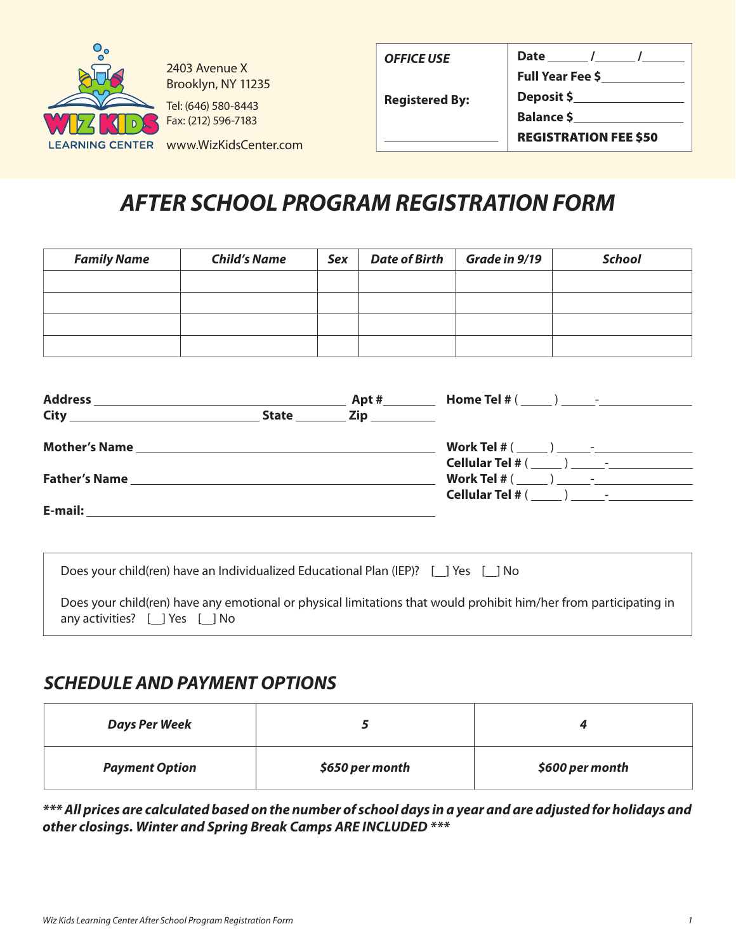

2403 Avenue X Brooklyn, NY 11235

Tel: (646) 580-8443 Fax: (212) 596-7183

| <b>OFFICE USE</b>     | Date /                       |
|-----------------------|------------------------------|
|                       | <b>Full Year Fee \$</b>      |
| <b>Registered By:</b> | Deposit \$                   |
|                       | Balance \$_                  |
|                       | <b>REGISTRATION FEE \$50</b> |

#### LEARNING CENTER www.WizKidsCenter.com

# *AFTER SCHOOL PROGRAM REGISTRATION FORM*

| <b>Family Name</b> | <b>Child's Name</b> | Sex | <b>Date of Birth</b> | Grade in 9/19 | <b>School</b> |
|--------------------|---------------------|-----|----------------------|---------------|---------------|
|                    |                     |     |                      |               |               |
|                    |                     |     |                      |               |               |
|                    |                     |     |                      |               |               |
|                    |                     |     |                      |               |               |

| <b>Address</b><br><u> 1989 - Andrea Stadt Britain, amerikansk politik (* 1989)</u> |              | Apt $#$ |                                                                                                                                                                                                                                     |
|------------------------------------------------------------------------------------|--------------|---------|-------------------------------------------------------------------------------------------------------------------------------------------------------------------------------------------------------------------------------------|
| <b>City City</b>                                                                   | <b>State</b> |         |                                                                                                                                                                                                                                     |
| <b>Mother's Name</b>                                                               |              |         |                                                                                                                                                                                                                                     |
|                                                                                    |              |         |                                                                                                                                                                                                                                     |
| <b>Father's Name</b>                                                               |              |         |                                                                                                                                                                                                                                     |
|                                                                                    |              |         | <b>Cellular Tel</b> # ( ) and a set of the set of the set of the set of the set of the set of the set of the set of the set of the set of the set of the set of the set of the set of the set of the set of the set of the set of t |
| E-mail:                                                                            |              |         |                                                                                                                                                                                                                                     |

| Does your child(ren) have an Individualized Educational Plan (IEP)? [ ] Yes [ ] No                                                                          |
|-------------------------------------------------------------------------------------------------------------------------------------------------------------|
| Does your child(ren) have any emotional or physical limitations that would prohibit him/her from participating in<br>any activities? $[$ $]$ Yes $[$ $]$ No |

#### *SCHEDULE AND PAYMENT OPTIONS*

| <b>Days Per Week</b>  |                 |                 |
|-----------------------|-----------------|-----------------|
| <b>Payment Option</b> | \$650 per month | \$600 per month |

*\*\*\* All prices are calculated based on the number of school days in a year and are adjusted for holidays and other closings. Winter and Spring Break Camps ARE INCLUDED \*\*\**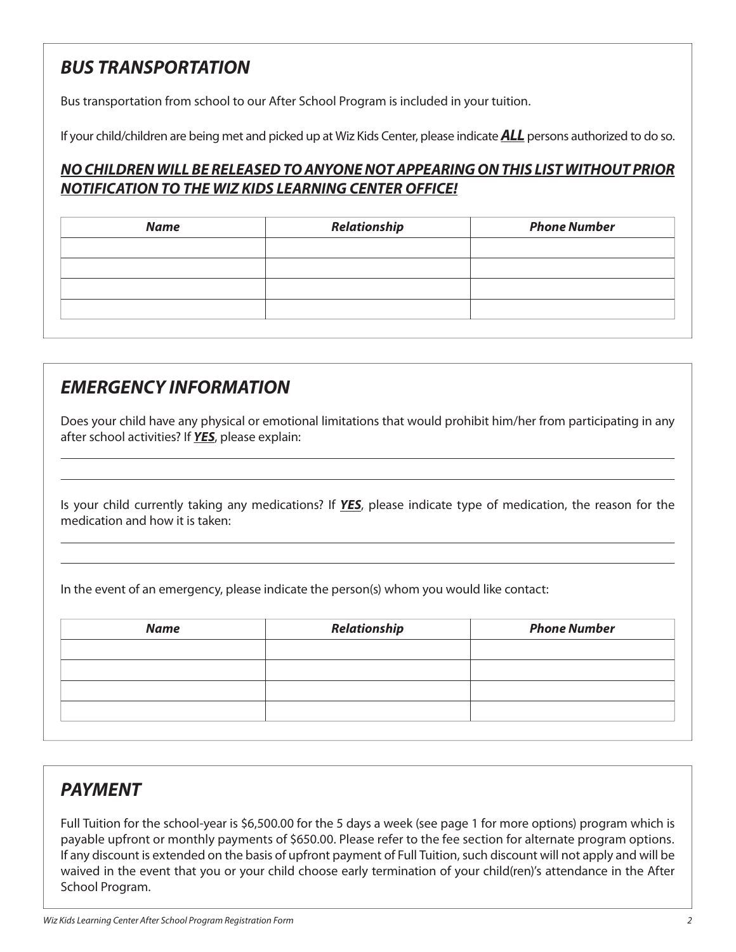## *BUS TRANSPORTATION*

Bus transportation from school to our After School Program is included in your tuition.

If your child/children are being met and picked up at Wiz Kids Center, please indicate *ALL* persons authorized to do so.

#### *NO CHILDREN WILL BE RELEASED TO ANYONE NOT APPEARING ON THIS LIST WITHOUT PRIOR NOTIFICATION TO THE WIZ KIDS LEARNING CENTER OFFICE!*

| <b>Name</b> | Relationship | <b>Phone Number</b> |
|-------------|--------------|---------------------|
|             |              |                     |
|             |              |                     |
|             |              |                     |
|             |              |                     |

### *EMERGENCY INFORMATION*

Does your child have any physical or emotional limitations that would prohibit him/her from participating in any after school activities? If *YES*, please explain:

Is your child currently taking any medications? If *YES*, please indicate type of medication, the reason for the medication and how it is taken:

In the event of an emergency, please indicate the person(s) whom you would like contact:

| <b>Name</b> | Relationship | <b>Phone Number</b> |
|-------------|--------------|---------------------|
|             |              |                     |
|             |              |                     |
|             |              |                     |
|             |              |                     |

#### *PAYMENT*

L

Full Tuition for the school-year is \$6,500.00 for the 5 days a week (see page 1 for more options) program which is payable upfront or monthly payments of \$650.00. Please refer to the fee section for alternate program options. If any discount is extended on the basis of upfront payment of Full Tuition, such discount will not apply and will be waived in the event that you or your child choose early termination of your child(ren)'s attendance in the After School Program.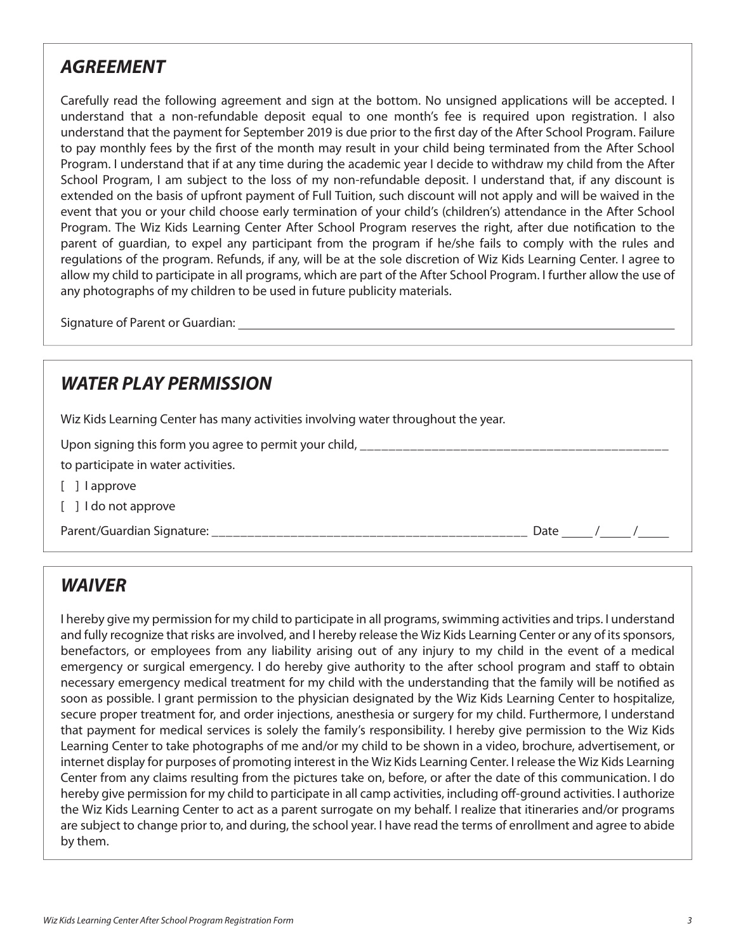### *AGREEMENT*

Carefully read the following agreement and sign at the bottom. No unsigned applications will be accepted. I understand that a non-refundable deposit equal to one month's fee is required upon registration. I also understand that the payment for September 2019 is due prior to the first day of the After School Program. Failure to pay monthly fees by the first of the month may result in your child being terminated from the After School Program. I understand that if at any time during the academic year I decide to withdraw my child from the After School Program, I am subject to the loss of my non-refundable deposit. I understand that, if any discount is extended on the basis of upfront payment of Full Tuition, such discount will not apply and will be waived in the event that you or your child choose early termination of your child's (children's) attendance in the After School Program. The Wiz Kids Learning Center After School Program reserves the right, after due notification to the parent of guardian, to expel any participant from the program if he/she fails to comply with the rules and regulations of the program. Refunds, if any, will be at the sole discretion of Wiz Kids Learning Center. I agree to allow my child to participate in all programs, which are part of the After School Program. I further allow the use of any photographs of my children to be used in future publicity materials.

Signature of Parent or Guardian:

## *WATER PLAY PERMISSION*

Wiz Kids Learning Center has many activities involving water throughout the year.

Upon signing this form you agree to permit your child,

to participate in water activities.

- [ ] l approve
- [ ] I do not approve

Parent/Guardian Signature:  $\overline{\phantom{a}}$  /  $\overline{\phantom{a}}$  /  $\overline{\phantom{a}}$  /  $\overline{\phantom{a}}$  /  $\overline{\phantom{a}}$  /  $\overline{\phantom{a}}$  /  $\overline{\phantom{a}}$  /  $\overline{\phantom{a}}$  /  $\overline{\phantom{a}}$  /  $\overline{\phantom{a}}$  /  $\overline{\phantom{a}}$  /  $\overline{\phantom{a}}$  /  $\overline{\phantom{a}}$  /  $\overline{\phantom{a}}$  /

*WAIVER*

I hereby give my permission for my child to participate in all programs, swimming activities and trips. I understand and fully recognize that risks are involved, and I hereby release the Wiz Kids Learning Center or any of its sponsors, benefactors, or employees from any liability arising out of any injury to my child in the event of a medical emergency or surgical emergency. I do hereby give authority to the after school program and staff to obtain necessary emergency medical treatment for my child with the understanding that the family will be notified as soon as possible. I grant permission to the physician designated by the Wiz Kids Learning Center to hospitalize, secure proper treatment for, and order injections, anesthesia or surgery for my child. Furthermore, I understand that payment for medical services is solely the family's responsibility. I hereby give permission to the Wiz Kids Learning Center to take photographs of me and/or my child to be shown in a video, brochure, advertisement, or internet display for purposes of promoting interest in the Wiz Kids Learning Center. I release the Wiz Kids Learning Center from any claims resulting from the pictures take on, before, or after the date of this communication. I do hereby give permission for my child to participate in all camp activities, including off-ground activities. I authorize the Wiz Kids Learning Center to act as a parent surrogate on my behalf. I realize that itineraries and/or programs are subject to change prior to, and during, the school year. I have read the terms of enrollment and agree to abide by them.